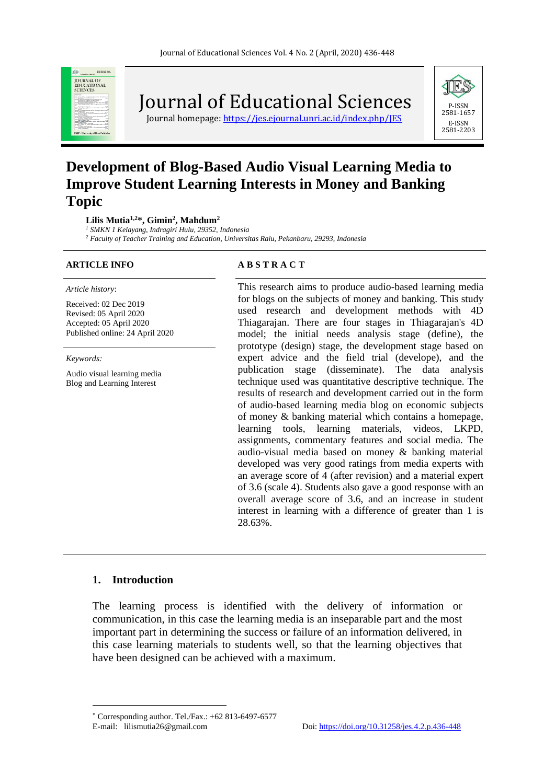

Journal of Educational Sciences

Journal homepage: https://jes.ejournal.unri.ac.id/index.php/IES



# **Development of Blog-Based Audio Visual Learning Media to Improve Student Learning Interests in Money and Banking Topic**

**Lilis Mutia1,2\*, Gimin<sup>2</sup> , Mahdum<sup>2</sup>**

*<sup>1</sup> SMKN 1 Kelayang, Indragiri Hulu, 29352, Indonesia*

*<sup>2</sup> Faculty of Teacher Training and Education, Universitas Raiu, Pekanbaru, 29293, Indonesia*

#### *Article history*:

Received: 02 Dec 2019 Revised: 05 April 2020 Accepted: 05 April 2020 Published online: 24 April 2020

*Keywords:*

Audio visual learning media Blog and Learning Interest

#### **ARTICLE INFO A B S T R A C T**

This research aims to produce audio-based learning media for blogs on the subjects of money and banking. This study used research and development methods with 4D Thiagarajan. There are four stages in Thiagarajan's 4D model; the initial needs analysis stage (define), the prototype (design) stage, the development stage based on expert advice and the field trial (develope), and the publication stage (disseminate). The data analysis technique used was quantitative descriptive technique. The results of research and development carried out in the form of audio-based learning media blog on economic subjects of money & banking material which contains a homepage, learning tools, learning materials, videos, LKPD, assignments, commentary features and social media. The audio-visual media based on money & banking material developed was very good ratings from media experts with an average score of 4 (after revision) and a material expert of 3.6 (scale 4). Students also gave a good response with an overall average score of 3.6, and an increase in student interest in learning with a difference of greater than 1 is 28.63%.

#### **1. Introduction**

The learning process is identified with the delivery of information or communication, in this case the learning media is an inseparable part and the most important part in determining the success or failure of an information delivered, in this case learning materials to students well, so that the learning objectives that have been designed can be achieved with a maximum.

Corresponding author. Tel./Fax.: +62 813-6497-6577 E-mail: lilismutia26@gmail.com Doi[: https://doi.org/10.31258/jes.4.2.p.436-448](https://doi.org/10.31258/jes.4.2.p.436-448)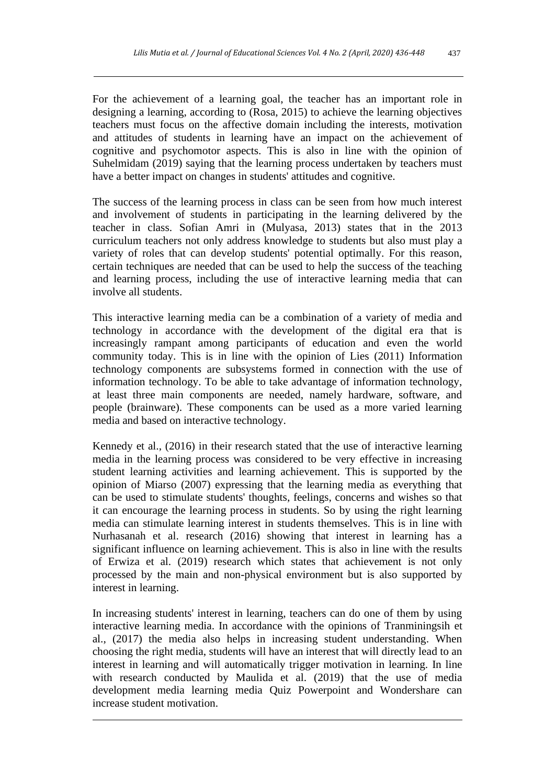For the achievement of a learning goal, the teacher has an important role in designing a learning, according to (Rosa, 2015) to achieve the learning objectives teachers must focus on the affective domain including the interests, motivation and attitudes of students in learning have an impact on the achievement of cognitive and psychomotor aspects. This is also in line with the opinion of Suhelmidam (2019) saying that the learning process undertaken by teachers must have a better impact on changes in students' attitudes and cognitive.

The success of the learning process in class can be seen from how much interest and involvement of students in participating in the learning delivered by the teacher in class. Sofian Amri in (Mulyasa, 2013) states that in the 2013 curriculum teachers not only address knowledge to students but also must play a variety of roles that can develop students' potential optimally. For this reason, certain techniques are needed that can be used to help the success of the teaching and learning process, including the use of interactive learning media that can involve all students.

This interactive learning media can be a combination of a variety of media and technology in accordance with the development of the digital era that is increasingly rampant among participants of education and even the world community today. This is in line with the opinion of Lies  $(2011)$  Information technology components are subsystems formed in connection with the use of information technology. To be able to take advantage of information technology, at least three main components are needed, namely hardware, software, and people (brainware). These components can be used as a more varied learning media and based on interactive technology.

Kennedy et al., (2016) in their research stated that the use of interactive learning media in the learning process was considered to be very effective in increasing student learning activities and learning achievement. This is supported by the opinion of Miarso (2007) expressing that the learning media as everything that can be used to stimulate students' thoughts, feelings, concerns and wishes so that it can encourage the learning process in students. So by using the right learning media can stimulate learning interest in students themselves. This is in line with Nurhasanah et al. research (2016) showing that interest in learning has a significant influence on learning achievement. This is also in line with the results of Erwiza et al. (2019) research which states that achievement is not only processed by the main and non-physical environment but is also supported by interest in learning.

In increasing students' interest in learning, teachers can do one of them by using interactive learning media. In accordance with the opinions of Tranminingsih et al., (2017) the media also helps in increasing student understanding. When choosing the right media, students will have an interest that will directly lead to an interest in learning and will automatically trigger motivation in learning. In line with research conducted by Maulida et al. (2019) that the use of media development media learning media Quiz Powerpoint and Wondershare can increase student motivation.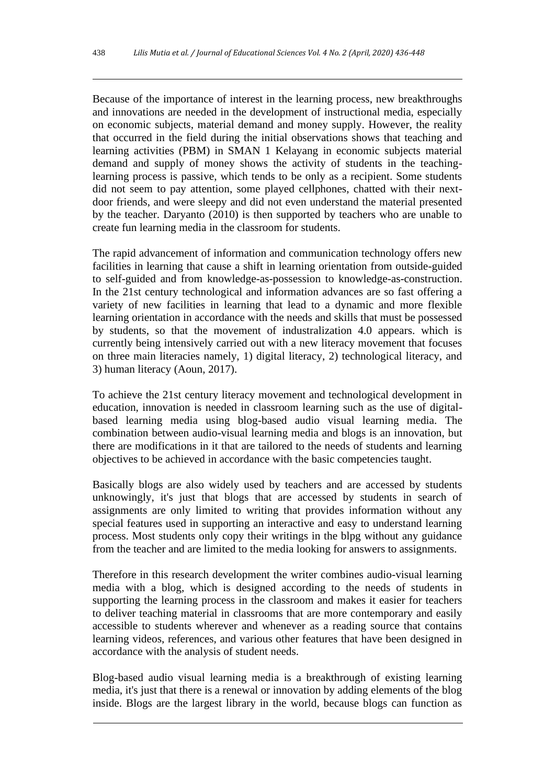Because of the importance of interest in the learning process, new breakthroughs and innovations are needed in the development of instructional media, especially on economic subjects, material demand and money supply. However, the reality that occurred in the field during the initial observations shows that teaching and learning activities (PBM) in SMAN 1 Kelayang in economic subjects material demand and supply of money shows the activity of students in the teachinglearning process is passive, which tends to be only as a recipient. Some students did not seem to pay attention, some played cellphones, chatted with their nextdoor friends, and were sleepy and did not even understand the material presented by the teacher. Daryanto (2010) is then supported by teachers who are unable to create fun learning media in the classroom for students.

The rapid advancement of information and communication technology offers new facilities in learning that cause a shift in learning orientation from outside-guided to self-guided and from knowledge-as-possession to knowledge-as-construction. In the 21st century technological and information advances are so fast offering a variety of new facilities in learning that lead to a dynamic and more flexible learning orientation in accordance with the needs and skills that must be possessed by students, so that the movement of industralization 4.0 appears. which is currently being intensively carried out with a new literacy movement that focuses on three main literacies namely, 1) digital literacy, 2) technological literacy, and 3) human literacy (Aoun, 2017).

To achieve the 21st century literacy movement and technological development in education, innovation is needed in classroom learning such as the use of digitalbased learning media using blog-based audio visual learning media. The combination between audio-visual learning media and blogs is an innovation, but there are modifications in it that are tailored to the needs of students and learning objectives to be achieved in accordance with the basic competencies taught.

Basically blogs are also widely used by teachers and are accessed by students unknowingly, it's just that blogs that are accessed by students in search of assignments are only limited to writing that provides information without any special features used in supporting an interactive and easy to understand learning process. Most students only copy their writings in the blpg without any guidance from the teacher and are limited to the media looking for answers to assignments.

Therefore in this research development the writer combines audio-visual learning media with a blog, which is designed according to the needs of students in supporting the learning process in the classroom and makes it easier for teachers to deliver teaching material in classrooms that are more contemporary and easily accessible to students wherever and whenever as a reading source that contains learning videos, references, and various other features that have been designed in accordance with the analysis of student needs.

Blog-based audio visual learning media is a breakthrough of existing learning media, it's just that there is a renewal or innovation by adding elements of the blog inside. Blogs are the largest library in the world, because blogs can function as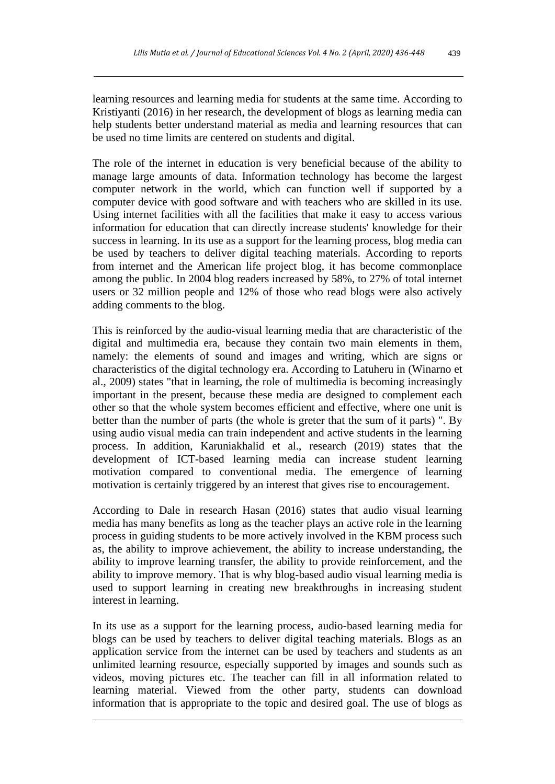learning resources and learning media for students at the same time. According to Kristiyanti (2016) in her research, the development of blogs as learning media can help students better understand material as media and learning resources that can be used no time limits are centered on students and digital.

The role of the internet in education is very beneficial because of the ability to manage large amounts of data. Information technology has become the largest computer network in the world, which can function well if supported by a computer device with good software and with teachers who are skilled in its use. Using internet facilities with all the facilities that make it easy to access various information for education that can directly increase students' knowledge for their success in learning. In its use as a support for the learning process, blog media can be used by teachers to deliver digital teaching materials. According to reports from internet and the American life project blog, it has become commonplace among the public. In 2004 blog readers increased by 58%, to 27% of total internet users or 32 million people and 12% of those who read blogs were also actively adding comments to the blog.

This is reinforced by the audio-visual learning media that are characteristic of the digital and multimedia era, because they contain two main elements in them, namely: the elements of sound and images and writing, which are signs or characteristics of the digital technology era. According to Latuheru in (Winarno et al., 2009) states "that in learning, the role of multimedia is becoming increasingly important in the present, because these media are designed to complement each other so that the whole system becomes efficient and effective, where one unit is better than the number of parts (the whole is greter that the sum of it parts) ". By using audio visual media can train independent and active students in the learning process. In addition, Karuniakhalid et al., research (2019) states that the development of ICT-based learning media can increase student learning motivation compared to conventional media. The emergence of learning motivation is certainly triggered by an interest that gives rise to encouragement.

According to Dale in research Hasan (2016) states that audio visual learning media has many benefits as long as the teacher plays an active role in the learning process in guiding students to be more actively involved in the KBM process such as, the ability to improve achievement, the ability to increase understanding, the ability to improve learning transfer, the ability to provide reinforcement, and the ability to improve memory. That is why blog-based audio visual learning media is used to support learning in creating new breakthroughs in increasing student interest in learning.

In its use as a support for the learning process, audio-based learning media for blogs can be used by teachers to deliver digital teaching materials. Blogs as an application service from the internet can be used by teachers and students as an unlimited learning resource, especially supported by images and sounds such as videos, moving pictures etc. The teacher can fill in all information related to learning material. Viewed from the other party, students can download information that is appropriate to the topic and desired goal. The use of blogs as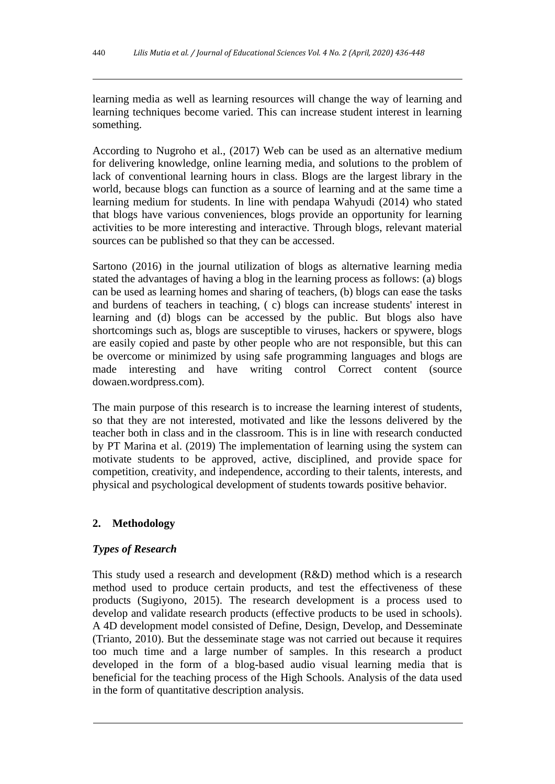learning media as well as learning resources will change the way of learning and learning techniques become varied. This can increase student interest in learning something.

According to Nugroho et al., (2017) Web can be used as an alternative medium for delivering knowledge, online learning media, and solutions to the problem of lack of conventional learning hours in class. Blogs are the largest library in the world, because blogs can function as a source of learning and at the same time a learning medium for students. In line with pendapa Wahyudi (2014) who stated that blogs have various conveniences, blogs provide an opportunity for learning activities to be more interesting and interactive. Through blogs, relevant material sources can be published so that they can be accessed.

Sartono (2016) in the journal utilization of blogs as alternative learning media stated the advantages of having a blog in the learning process as follows: (a) blogs can be used as learning homes and sharing of teachers, (b) blogs can ease the tasks and burdens of teachers in teaching, ( c) blogs can increase students' interest in learning and (d) blogs can be accessed by the public. But blogs also have shortcomings such as, blogs are susceptible to viruses, hackers or spywere, blogs are easily copied and paste by other people who are not responsible, but this can be overcome or minimized by using safe programming languages and blogs are made interesting and have writing control Correct content (source dowaen.wordpress.com).

The main purpose of this research is to increase the learning interest of students, so that they are not interested, motivated and like the lessons delivered by the teacher both in class and in the classroom. This is in line with research conducted by PT Marina et al. (2019) The implementation of learning using the system can motivate students to be approved, active, disciplined, and provide space for competition, creativity, and independence, according to their talents, interests, and physical and psychological development of students towards positive behavior.

# **2. Methodology**

# *Types of Research*

This study used a research and development (R&D) method which is a research method used to produce certain products, and test the effectiveness of these products (Sugiyono, 2015). The research development is a process used to develop and validate research products (effective products to be used in schools). A 4D development model consisted of Define, Design, Develop, and Desseminate (Trianto, 2010). But the desseminate stage was not carried out because it requires too much time and a large number of samples. In this research a product developed in the form of a blog-based audio visual learning media that is beneficial for the teaching process of the High Schools. Analysis of the data used in the form of quantitative description analysis.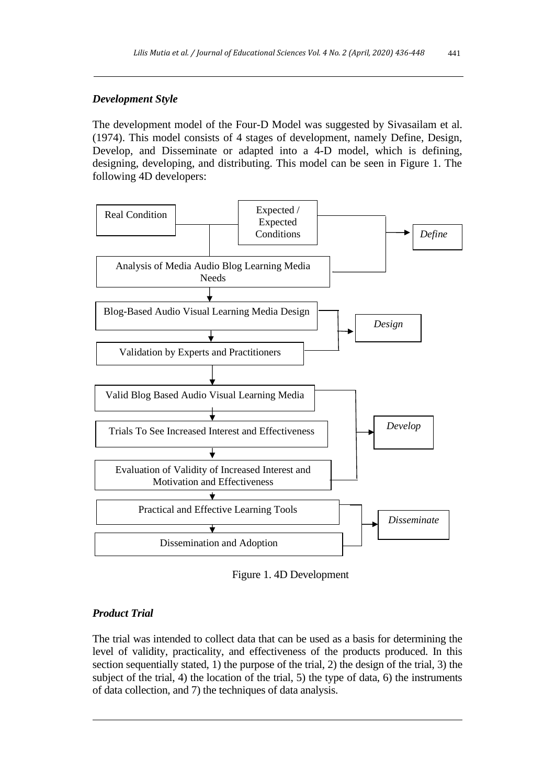# *Development Style*

The development model of the Four-D Model was suggested by Sivasailam et al. (1974). This model consists of 4 stages of development, namely Define, Design, Develop, and Disseminate or adapted into a 4-D model, which is defining, designing, developing, and distributing. This model can be seen in Figure 1. The following 4D developers:



Figure 1. 4D Development

# *Product Trial*

The trial was intended to collect data that can be used as a basis for determining the level of validity, practicality, and effectiveness of the products produced. In this section sequentially stated, 1) the purpose of the trial, 2) the design of the trial, 3) the subject of the trial, 4) the location of the trial, 5) the type of data, 6) the instruments of data collection, and 7) the techniques of data analysis.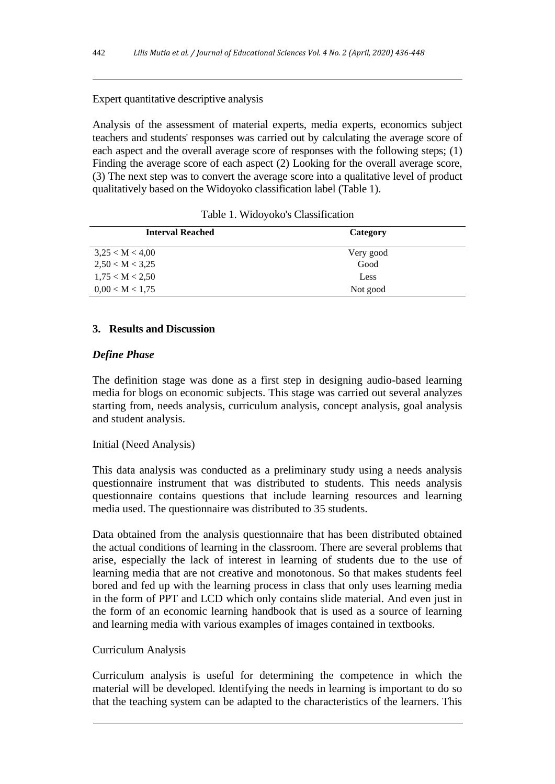# Expert quantitative descriptive analysis

Analysis of the assessment of material experts, media experts, economics subject teachers and students' responses was carried out by calculating the average score of each aspect and the overall average score of responses with the following steps; (1) Finding the average score of each aspect (2) Looking for the overall average score, (3) The next step was to convert the average score into a qualitative level of product qualitatively based on the Widoyoko classification label (Table 1).

| <b>Interval Reached</b> | Category  |  |
|-------------------------|-----------|--|
| 3.25 < M < 4.00         | Very good |  |
| 2,50 < M < 3,25         | Good      |  |
| 1,75 < M < 2,50         | Less      |  |
| 0.00 < M < 1.75         | Not good  |  |

|  |  | Table 1. Widoyoko's Classification |
|--|--|------------------------------------|
|--|--|------------------------------------|

# **3. Results and Discussion**

# *Define Phase*

The definition stage was done as a first step in designing audio-based learning media for blogs on economic subjects. This stage was carried out several analyzes starting from, needs analysis, curriculum analysis, concept analysis, goal analysis and student analysis.

#### Initial (Need Analysis)

This data analysis was conducted as a preliminary study using a needs analysis questionnaire instrument that was distributed to students. This needs analysis questionnaire contains questions that include learning resources and learning media used. The questionnaire was distributed to 35 students.

Data obtained from the analysis questionnaire that has been distributed obtained the actual conditions of learning in the classroom. There are several problems that arise, especially the lack of interest in learning of students due to the use of learning media that are not creative and monotonous. So that makes students feel bored and fed up with the learning process in class that only uses learning media in the form of PPT and LCD which only contains slide material. And even just in the form of an economic learning handbook that is used as a source of learning and learning media with various examples of images contained in textbooks.

#### Curriculum Analysis

Curriculum analysis is useful for determining the competence in which the material will be developed. Identifying the needs in learning is important to do so that the teaching system can be adapted to the characteristics of the learners. This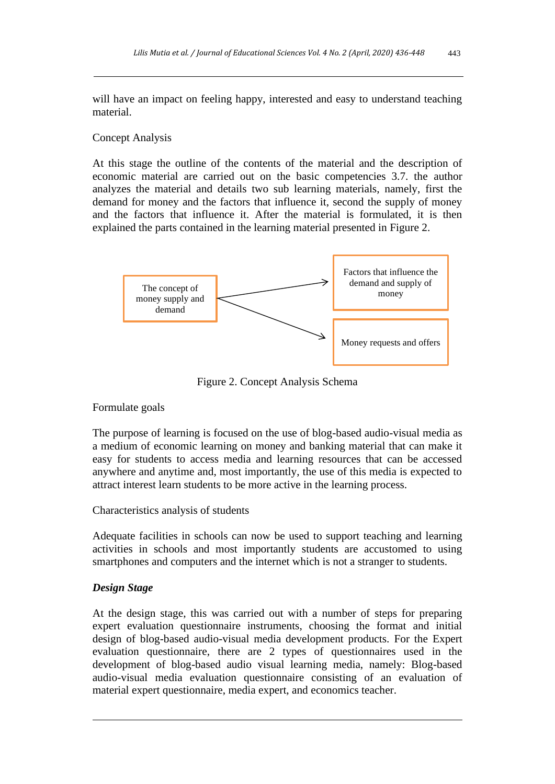will have an impact on feeling happy, interested and easy to understand teaching material.

#### Concept Analysis

At this stage the outline of the contents of the material and the description of economic material are carried out on the basic competencies 3.7. the author analyzes the material and details two sub learning materials, namely, first the demand for money and the factors that influence it, second the supply of money and the factors that influence it. After the material is formulated, it is then explained the parts contained in the learning material presented in Figure 2.



Figure 2. Concept Analysis Schema

#### Formulate goals

The purpose of learning is focused on the use of blog-based audio-visual media as a medium of economic learning on money and banking material that can make it easy for students to access media and learning resources that can be accessed anywhere and anytime and, most importantly, the use of this media is expected to attract interest learn students to be more active in the learning process.

#### Characteristics analysis of students

Adequate facilities in schools can now be used to support teaching and learning activities in schools and most importantly students are accustomed to using smartphones and computers and the internet which is not a stranger to students.

#### *Design Stage*

At the design stage, this was carried out with a number of steps for preparing expert evaluation questionnaire instruments, choosing the format and initial design of blog-based audio-visual media development products. For the Expert evaluation questionnaire, there are 2 types of questionnaires used in the development of blog-based audio visual learning media, namely: Blog-based audio-visual media evaluation questionnaire consisting of an evaluation of material expert questionnaire, media expert, and economics teacher.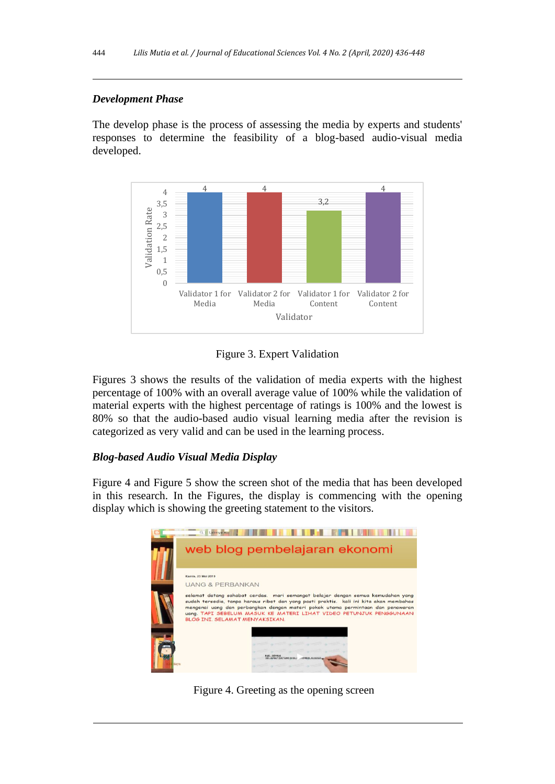# *Development Phase*

The develop phase is the process of assessing the media by experts and students' responses to determine the feasibility of a blog-based audio-visual media developed.



Figure 3. Expert Validation

Figures 3 shows the results of the validation of media experts with the highest percentage of 100% with an overall average value of 100% while the validation of material experts with the highest percentage of ratings is 100% and the lowest is 80% so that the audio-based audio visual learning media after the revision is categorized as very valid and can be used in the learning process.

# *Blog-based Audio Visual Media Display*

Figure 4 and Figure 5 show the screen shot of the media that has been developed in this research. In the Figures, the display is commencing with the opening display which is showing the greeting statement to the visitors.



Figure 4. Greeting as the opening screen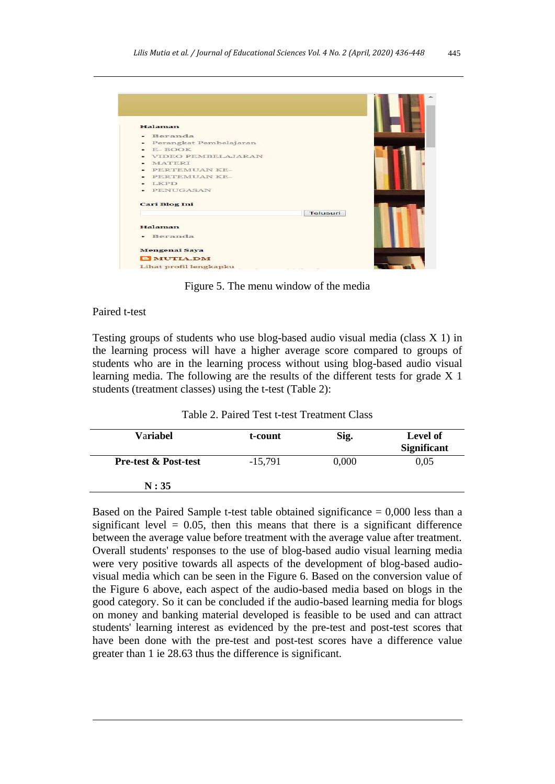| Halaman                            |          |
|------------------------------------|----------|
| Beranda                            |          |
| Perangkat Pembelajaran<br>٠        |          |
| E-BOOK<br>$\overline{\phantom{0}}$ |          |
| VIDEO PEMBELAJARAN                 |          |
| MATERI                             |          |
| PERTEMUAN KE-                      |          |
| PERTEMUAN KE-                      |          |
| <b>LKPD</b>                        |          |
| PENUGASAN                          |          |
| <b>Cari Blog Ini</b>               |          |
|                                    | Telusuri |
| Halaman                            |          |
| • Beranda                          |          |
|                                    |          |
| <b>Mengenai Saya</b>               |          |
| <b>B</b> MUTIA.DM                  |          |
| Lihat profil lengkapku             |          |

Figure 5. The menu window of the media

#### Paired t-test

Testing groups of students who use blog-based audio visual media (class X 1) in the learning process will have a higher average score compared to groups of students who are in the learning process without using blog-based audio visual learning media. The following are the results of the different tests for grade X 1 students (treatment classes) using the t-test (Table 2):

Table 2. Paired Test t-test Treatment Class

| Variabel                        | t-count   | Sig.  | Level of<br><b>Significant</b> |
|---------------------------------|-----------|-------|--------------------------------|
| <b>Pre-test &amp; Post-test</b> | $-15,791$ | 0,000 | 0,05                           |
| N:35                            |           |       |                                |

Based on the Paired Sample t-test table obtained significance  $= 0,000$  less than a significant level  $= 0.05$ , then this means that there is a significant difference between the average value before treatment with the average value after treatment. Overall students' responses to the use of blog-based audio visual learning media were very positive towards all aspects of the development of blog-based audiovisual media which can be seen in the Figure 6. Based on the conversion value of the Figure 6 above, each aspect of the audio-based media based on blogs in the good category. So it can be concluded if the audio-based learning media for blogs on money and banking material developed is feasible to be used and can attract students' learning interest as evidenced by the pre-test and post-test scores that have been done with the pre-test and post-test scores have a difference value greater than 1 ie 28.63 thus the difference is significant.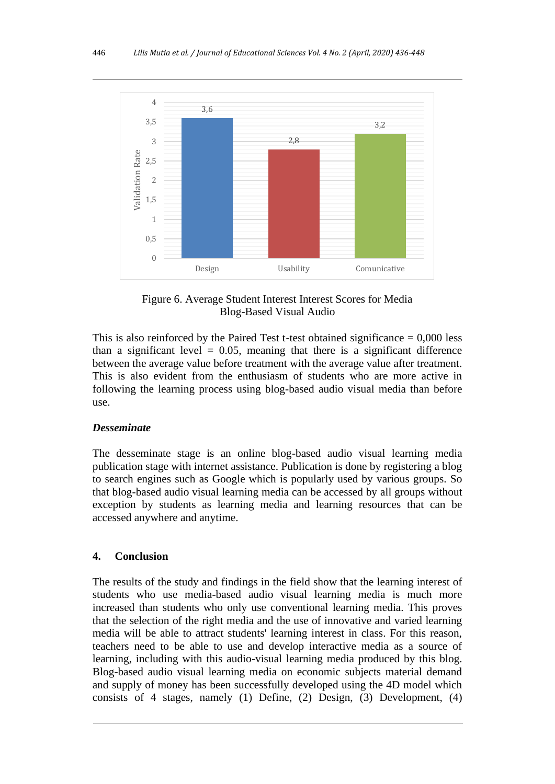

Figure 6. Average Student Interest Interest Scores for Media Blog-Based Visual Audio

This is also reinforced by the Paired Test t-test obtained significance  $= 0,000$  less than a significant level  $= 0.05$ , meaning that there is a significant difference between the average value before treatment with the average value after treatment. This is also evident from the enthusiasm of students who are more active in following the learning process using blog-based audio visual media than before use.

## *Desseminate*

The desseminate stage is an online blog-based audio visual learning media publication stage with internet assistance. Publication is done by registering a blog to search engines such as Google which is popularly used by various groups. So that blog-based audio visual learning media can be accessed by all groups without exception by students as learning media and learning resources that can be accessed anywhere and anytime.

# **4. Conclusion**

The results of the study and findings in the field show that the learning interest of students who use media-based audio visual learning media is much more increased than students who only use conventional learning media. This proves that the selection of the right media and the use of innovative and varied learning media will be able to attract students' learning interest in class. For this reason, teachers need to be able to use and develop interactive media as a source of learning, including with this audio-visual learning media produced by this blog. Blog-based audio visual learning media on economic subjects material demand and supply of money has been successfully developed using the 4D model which consists of 4 stages, namely (1) Define, (2) Design, (3) Development, (4)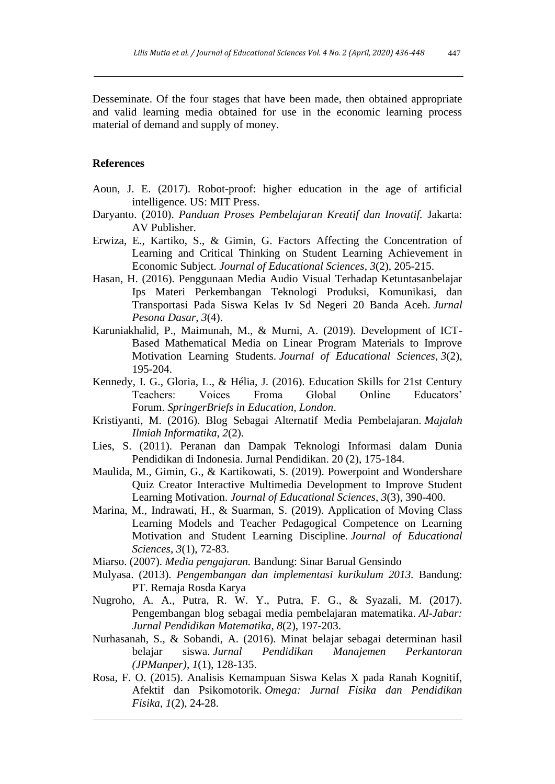Desseminate. Of the four stages that have been made, then obtained appropriate and valid learning media obtained for use in the economic learning process material of demand and supply of money.

# **References**

- Aoun, J. E. (2017). Robot-proof: higher education in the age of artificial intelligence. US: MIT Press.
- Daryanto. (2010). *Panduan Proses Pembelajaran Kreatif dan Inovatif.* Jakarta: AV Publisher.
- Erwiza, E., Kartiko, S., & Gimin, G. Factors Affecting the Concentration of Learning and Critical Thinking on Student Learning Achievement in Economic Subject. *Journal of Educational Sciences*, *3*(2), 205-215.
- Hasan, H. (2016). Penggunaan Media Audio Visual Terhadap Ketuntasanbelajar Ips Materi Perkembangan Teknologi Produksi, Komunikasi, dan Transportasi Pada Siswa Kelas Iv Sd Negeri 20 Banda Aceh. *Jurnal Pesona Dasar*, *3*(4).
- Karuniakhalid, P., Maimunah, M., & Murni, A. (2019). Development of ICT-Based Mathematical Media on Linear Program Materials to Improve Motivation Learning Students. *Journal of Educational Sciences*, *3*(2), 195-204.
- Kennedy, I. G., Gloria, L., & Hélia, J. (2016). Education Skills for 21st Century Teachers: Voices Froma Global Online Educators' Forum. *SpringerBriefs in Education, London*.
- Kristiyanti, M. (2016). Blog Sebagai Alternatif Media Pembelajaran. *Majalah Ilmiah Informatika*, *2*(2).
- Lies, S. (2011). Peranan dan Dampak Teknologi Informasi dalam Dunia Pendidikan di Indonesia. Jurnal Pendidikan. 20 (2), 175-184.
- Maulida, M., Gimin, G., & Kartikowati, S. (2019). Powerpoint and Wondershare Quiz Creator Interactive Multimedia Development to Improve Student Learning Motivation. *Journal of Educational Sciences*, *3*(3), 390-400.
- Marina, M., Indrawati, H., & Suarman, S. (2019). Application of Moving Class Learning Models and Teacher Pedagogical Competence on Learning Motivation and Student Learning Discipline. *Journal of Educational Sciences*, *3*(1), 72-83.
- Miarso. (2007). *Media pengajaran.* Bandung: Sinar Barual Gensindo
- Mulyasa. (2013). *Pengembangan dan implementasi kurikulum 2013.* Bandung: PT. Remaja Rosda Karya
- Nugroho, A. A., Putra, R. W. Y., Putra, F. G., & Syazali, M. (2017). Pengembangan blog sebagai media pembelajaran matematika. *Al-Jabar: Jurnal Pendidikan Matematika*, *8*(2), 197-203.
- Nurhasanah, S., & Sobandi, A. (2016). Minat belajar sebagai determinan hasil belajar siswa. *Jurnal Pendidikan Manajemen Perkantoran (JPManper)*, *1*(1), 128-135.
- Rosa, F. O. (2015). Analisis Kemampuan Siswa Kelas X pada Ranah Kognitif, Afektif dan Psikomotorik. *Omega: Jurnal Fisika dan Pendidikan Fisika*, *1*(2), 24-28.